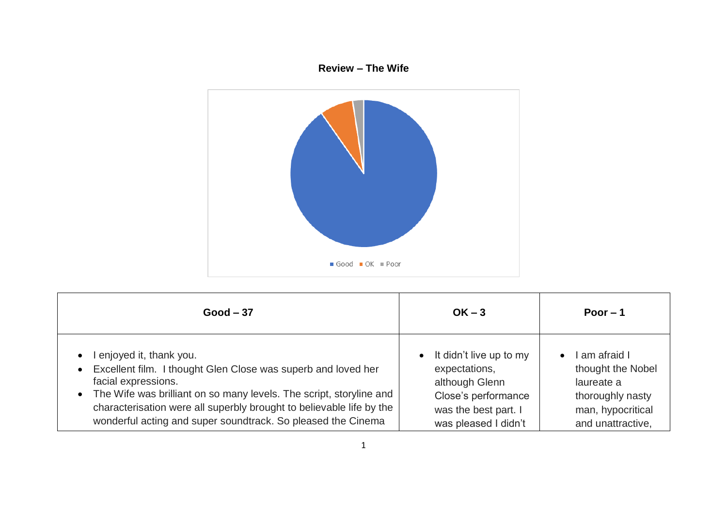## **Review – The Wife**



| $Good - 37$                                                                                                                                                                                                                                                                                                                                               | $OK - 3$                                                                                                                                       | Poor $-1$                                                                                                      |
|-----------------------------------------------------------------------------------------------------------------------------------------------------------------------------------------------------------------------------------------------------------------------------------------------------------------------------------------------------------|------------------------------------------------------------------------------------------------------------------------------------------------|----------------------------------------------------------------------------------------------------------------|
| enjoyed it, thank you.<br>$\bullet$<br>Excellent film. I thought Glen Close was superb and loved her<br>$\bullet$<br>facial expressions.<br>• The Wife was brilliant on so many levels. The script, storyline and<br>characterisation were all superbly brought to believable life by the<br>wonderful acting and super soundtrack. So pleased the Cinema | It didn't live up to my<br>$\bullet$<br>expectations,<br>although Glenn<br>Close's performance<br>was the best part. I<br>was pleased I didn't | I am afraid I<br>thought the Nobel<br>laureate a<br>thoroughly nasty<br>man, hypocritical<br>and unattractive, |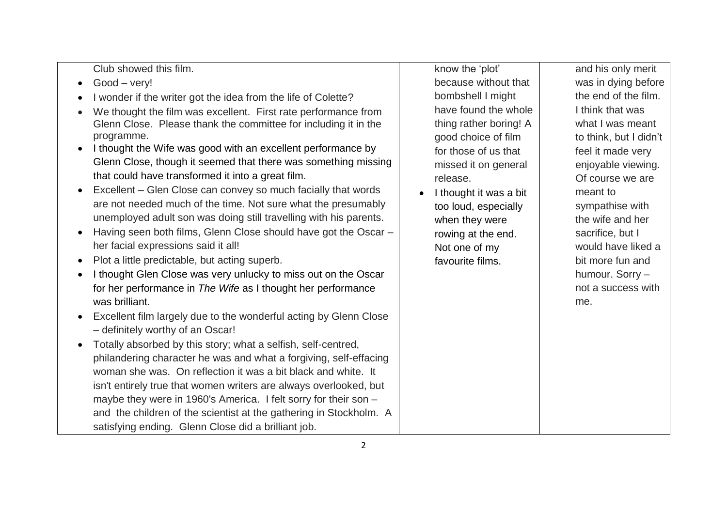Club showed this film.

- Good very!
- I wonder if the writer got the idea from the life of Colette?
- We thought the film was excellent. First rate performance from Glenn Close. Please thank the committee for including it in the programme.
- I thought the Wife was good with an excellent performance by Glenn Close, though it seemed that there was something missing that could have transformed it into a great film.
- Excellent Glen Close can convey so much facially that words are not needed much of the time. Not sure what the presumably unemployed adult son was doing still travelling with his parents.
- Having seen both films, Glenn Close should have got the Oscar her facial expressions said it all!
- Plot a little predictable, but acting superb.
- I thought Glen Close was very unlucky to miss out on the Oscar for her performance in *The Wife* as I thought her performance was brilliant.
- Excellent film largely due to the wonderful acting by Glenn Close – definitely worthy of an Oscar!
- Totally absorbed by this story; what a selfish, self-centred, philandering character he was and what a forgiving, self-effacing woman she was. On reflection it was a bit black and white. It isn't entirely true that women writers are always overlooked, but maybe they were in 1960's America. I felt sorry for their son – and the children of the scientist at the gathering in Stockholm. A satisfying ending. Glenn Close did a brilliant job.

know the 'plot' because without that bombshell I might have found the whole thing rather boring! A good choice of film for those of us that missed it on general release.

I thought it was a bit too loud, especially when they were rowing at the end. Not one of my favourite films.

and his only merit was in dying before the end of the film. I think that was what I was meant to think, but I didn't feel it made very enjoyable viewing. Of course we are meant to sympathise with the wife and her sacrifice, but I would have liked a bit more fun and humour. Sorry – not a success with me.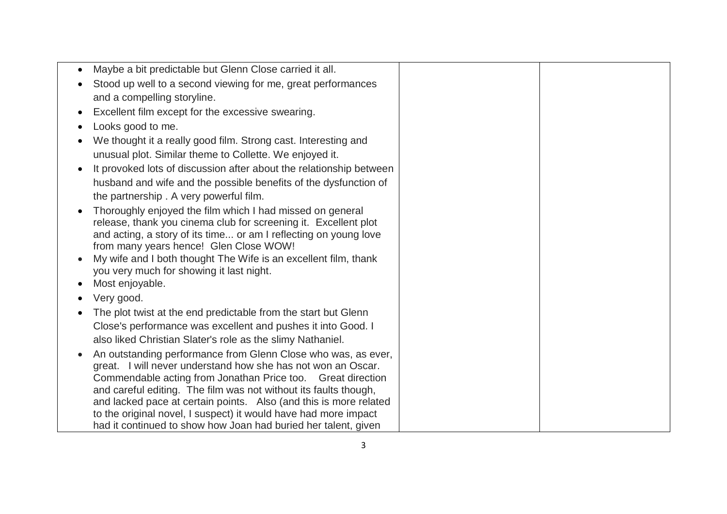| Maybe a bit predictable but Glenn Close carried it all.                                                                       |  |
|-------------------------------------------------------------------------------------------------------------------------------|--|
| Stood up well to a second viewing for me, great performances                                                                  |  |
| and a compelling storyline.                                                                                                   |  |
| Excellent film except for the excessive swearing.                                                                             |  |
| Looks good to me.                                                                                                             |  |
| We thought it a really good film. Strong cast. Interesting and                                                                |  |
| unusual plot. Similar theme to Collette. We enjoyed it.                                                                       |  |
| It provoked lots of discussion after about the relationship between                                                           |  |
| husband and wife and the possible benefits of the dysfunction of                                                              |  |
| the partnership. A very powerful film.                                                                                        |  |
| Thoroughly enjoyed the film which I had missed on general                                                                     |  |
| release, thank you cinema club for screening it. Excellent plot                                                               |  |
| and acting, a story of its time or am I reflecting on young love                                                              |  |
| from many years hence! Glen Close WOW!                                                                                        |  |
| My wife and I both thought The Wife is an excellent film, thank<br>you very much for showing it last night.                   |  |
| Most enjoyable.                                                                                                               |  |
| Very good.                                                                                                                    |  |
|                                                                                                                               |  |
| The plot twist at the end predictable from the start but Glenn                                                                |  |
| Close's performance was excellent and pushes it into Good. I                                                                  |  |
| also liked Christian Slater's role as the slimy Nathaniel.                                                                    |  |
| An outstanding performance from Glenn Close who was, as ever,<br>great. I will never understand how she has not won an Oscar. |  |
| Commendable acting from Jonathan Price too. Great direction                                                                   |  |
| and careful editing. The film was not without its faults though,                                                              |  |
| and lacked pace at certain points. Also (and this is more related                                                             |  |
| to the original novel, I suspect) it would have had more impact                                                               |  |
| had it continued to show how Joan had buried her talent, given                                                                |  |